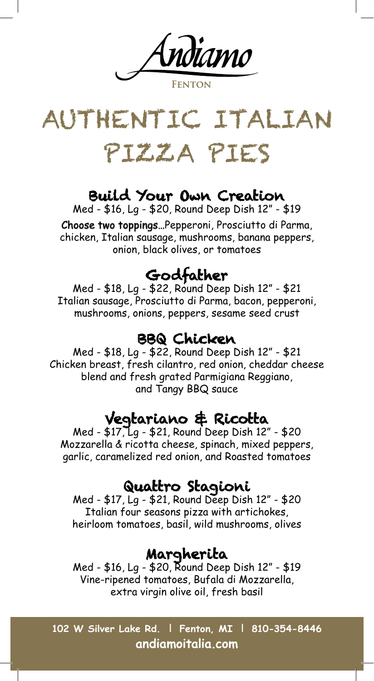ndiamo FNTON



#### Build Your Own Creation

Med - \$16, Lg - \$20, Round Deep Dish 12" - \$19

Choose two toppings…Pepperoni, Prosciutto di Parma, chicken, Italian sausage, mushrooms, banana peppers, onion, black olives, or tomatoes

Godfather<br>Med - \$18, Lg - \$22, Round Deep Dish 12" - \$21 Italian sausage, Prosciutto di Parma, bacon, pepperoni, mushrooms, onions, peppers, sesame seed crust

#### BBQ Chicken

Med - \$18, Lg - \$22, Round Deep Dish 12" - \$21 Chicken breast, fresh cilantro, red onion, cheddar cheese blend and fresh grated Parmigiana Reggiano, and Tangy BBQ sauce

### Vegtariano & Ricotta

Med - \$17, Lg - \$21, Round Deep Dish 12" - \$20 Mozzarella & ricotta cheese, spinach, mixed peppers, garlic, caramelized red onion, and Roasted tomatoes

Quattro Stagioni<br>Med - \$17, Lg - \$21, Round Deep Dish 12" - \$20 Italian four seasons pizza with artichokes, heirloom tomatoes, basil, wild mushrooms, olives

**Margherita**<br>Med - \$16, Lg - \$20, Round Deep Dish 12" - \$19 Vine-ripened tomatoes, Bufala di Mozzarella, extra virgin olive oil, fresh basil

**102 W Silver Lake Rd. | Fenton, MI | 810-354-8446 andiamoitalia.com**